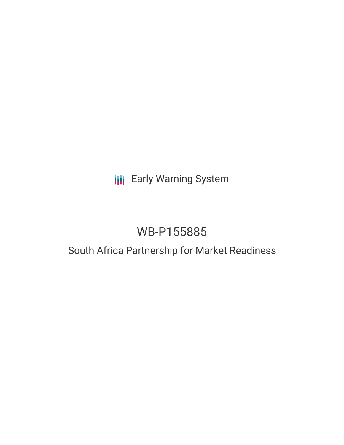# **III** Early Warning System

# WB-P155885

## South Africa Partnership for Market Readiness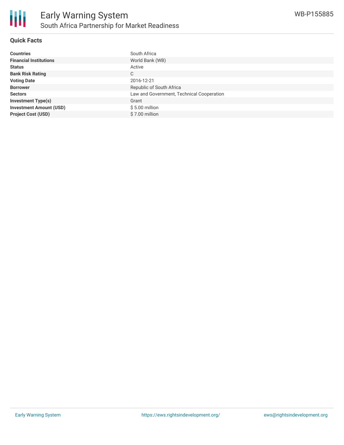

#### **Quick Facts**

| <b>Countries</b>               | South Africa                              |
|--------------------------------|-------------------------------------------|
| <b>Financial Institutions</b>  | World Bank (WB)                           |
| <b>Status</b>                  | Active                                    |
| <b>Bank Risk Rating</b>        | C                                         |
| <b>Voting Date</b>             | 2016-12-21                                |
| <b>Borrower</b>                | Republic of South Africa                  |
| <b>Sectors</b>                 | Law and Government, Technical Cooperation |
| <b>Investment Type(s)</b>      | Grant                                     |
| <b>Investment Amount (USD)</b> | $$5.00$ million                           |
| <b>Project Cost (USD)</b>      | \$7.00 million                            |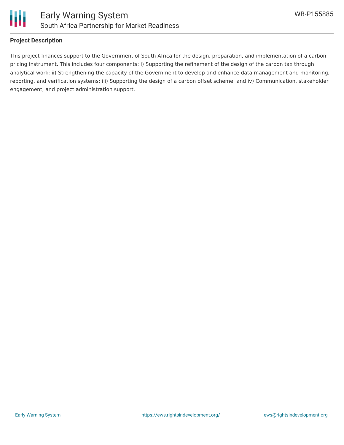

#### **Project Description**

This project finances support to the Government of South Africa for the design, preparation, and implementation of a carbon pricing instrument. This includes four components: i) Supporting the refinement of the design of the carbon tax through analytical work; ii) Strengthening the capacity of the Government to develop and enhance data management and monitoring, reporting, and verification systems; iii) Supporting the design of a carbon offset scheme; and iv) Communication, stakeholder engagement, and project administration support.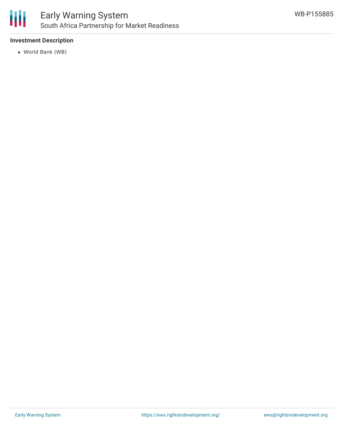

## Early Warning System South Africa Partnership for Market Readiness

#### **Investment Description**

World Bank (WB)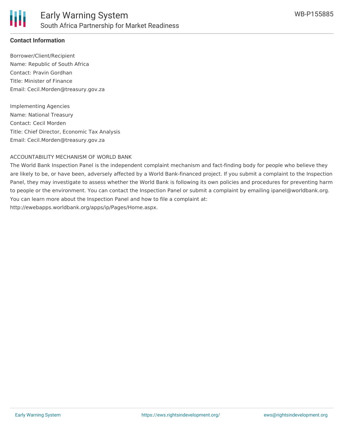

#### **Contact Information**

Borrower/Client/Recipient Name: Republic of South Africa Contact: Pravin Gordhan Title: Minister of Finance Email: Cecil.Morden@treasury.gov.za

Implementing Agencies Name: National Treasury Contact: Cecil Morden Title: Chief Director, Economic Tax Analysis Email: Cecil.Morden@treasury.gov.za

#### ACCOUNTABILITY MECHANISM OF WORLD BANK

The World Bank Inspection Panel is the independent complaint mechanism and fact-finding body for people who believe they are likely to be, or have been, adversely affected by a World Bank-financed project. If you submit a complaint to the Inspection Panel, they may investigate to assess whether the World Bank is following its own policies and procedures for preventing harm to people or the environment. You can contact the Inspection Panel or submit a complaint by emailing ipanel@worldbank.org. You can learn more about the Inspection Panel and how to file a complaint at: http://ewebapps.worldbank.org/apps/ip/Pages/Home.aspx.